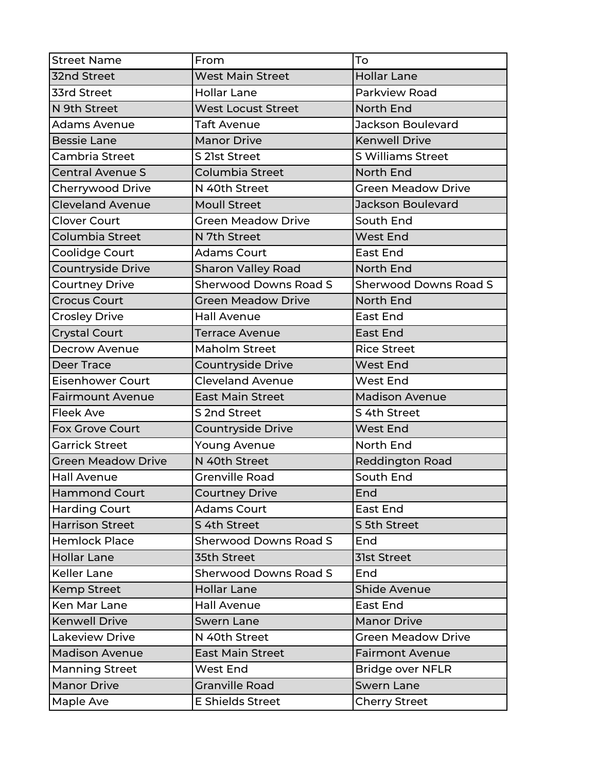| <b>Street Name</b>        | From                         | To                           |
|---------------------------|------------------------------|------------------------------|
| 32nd Street               | <b>West Main Street</b>      | <b>Hollar Lane</b>           |
| 33rd Street               | <b>Hollar Lane</b>           | Parkview Road                |
| N 9th Street              | <b>West Locust Street</b>    | North End                    |
| <b>Adams Avenue</b>       | <b>Taft Avenue</b>           | <b>Jackson Boulevard</b>     |
| <b>Bessie Lane</b>        | <b>Manor Drive</b>           | <b>Kenwell Drive</b>         |
| Cambria Street            | S 21st Street                | <b>S Williams Street</b>     |
| <b>Central Avenue S</b>   | Columbia Street              | <b>North End</b>             |
| Cherrywood Drive          | N 40th Street                | <b>Green Meadow Drive</b>    |
| <b>Cleveland Avenue</b>   | <b>Moull Street</b>          | <b>Jackson Boulevard</b>     |
| <b>Clover Court</b>       | <b>Green Meadow Drive</b>    | South End                    |
| Columbia Street           | N 7th Street                 | <b>West End</b>              |
| Coolidge Court            | <b>Adams Court</b>           | <b>East End</b>              |
| <b>Countryside Drive</b>  | <b>Sharon Valley Road</b>    | <b>North End</b>             |
| <b>Courtney Drive</b>     | <b>Sherwood Downs Road S</b> | <b>Sherwood Downs Road S</b> |
| <b>Crocus Court</b>       | <b>Green Meadow Drive</b>    | North End                    |
| <b>Crosley Drive</b>      | <b>Hall Avenue</b>           | <b>East End</b>              |
| <b>Crystal Court</b>      | <b>Terrace Avenue</b>        | <b>East End</b>              |
| <b>Decrow Avenue</b>      | <b>Maholm Street</b>         | <b>Rice Street</b>           |
| <b>Deer Trace</b>         | Countryside Drive            | <b>West End</b>              |
| <b>Eisenhower Court</b>   | Cleveland Avenue             | <b>West End</b>              |
| <b>Fairmount Avenue</b>   | <b>East Main Street</b>      | <b>Madison Avenue</b>        |
| <b>Fleek Ave</b>          | S 2nd Street                 | S 4th Street                 |
| <b>Fox Grove Court</b>    | <b>Countryside Drive</b>     | <b>West End</b>              |
| <b>Garrick Street</b>     | <b>Young Avenue</b>          | North End                    |
| <b>Green Meadow Drive</b> | N 40th Street                | <b>Reddington Road</b>       |
| <b>Hall Avenue</b>        | <b>Grenville Road</b>        | South End                    |
| <b>Hammond Court</b>      | <b>Courtney Drive</b>        | End                          |
| <b>Harding Court</b>      | <b>Adams Court</b>           | East End                     |
| <b>Harrison Street</b>    | S 4th Street                 | S 5th Street                 |
| <b>Hemlock Place</b>      | <b>Sherwood Downs Road S</b> | End                          |
| <b>Hollar Lane</b>        | 35th Street                  | <b>31st Street</b>           |
| <b>Keller Lane</b>        | <b>Sherwood Downs Road S</b> | End                          |
| <b>Kemp Street</b>        | <b>Hollar Lane</b>           | <b>Shide Avenue</b>          |
| Ken Mar Lane              | <b>Hall Avenue</b>           | <b>East End</b>              |
| <b>Kenwell Drive</b>      | <b>Swern Lane</b>            | <b>Manor Drive</b>           |
| <b>Lakeview Drive</b>     | N 40th Street                | <b>Green Meadow Drive</b>    |
| <b>Madison Avenue</b>     | <b>East Main Street</b>      | <b>Fairmont Avenue</b>       |
| <b>Manning Street</b>     | West End                     | <b>Bridge over NFLR</b>      |
| <b>Manor Drive</b>        | <b>Granville Road</b>        | <b>Swern Lane</b>            |
| Maple Ave                 | <b>E Shields Street</b>      | <b>Cherry Street</b>         |